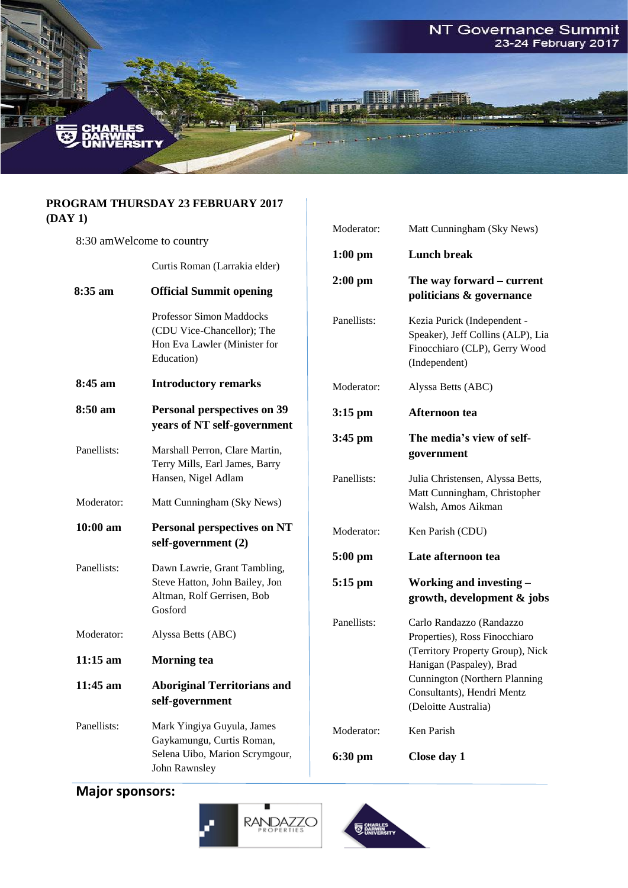

#### **PROGRAM THURSDAY 23 FEBRUARY 2017 (DAY 1)**

|             |                                                                                                         | Moderator:                                                                                                                                          | Matt Cunningham (Sky News)                                                                                         |
|-------------|---------------------------------------------------------------------------------------------------------|-----------------------------------------------------------------------------------------------------------------------------------------------------|--------------------------------------------------------------------------------------------------------------------|
|             | 8:30 amWelcome to country                                                                               |                                                                                                                                                     |                                                                                                                    |
|             | Curtis Roman (Larrakia elder)                                                                           | $1:00$ pm                                                                                                                                           | <b>Lunch break</b>                                                                                                 |
| 8:35 am     | <b>Official Summit opening</b>                                                                          | $2:00$ pm                                                                                                                                           | The way forward – current<br>politicians & governance                                                              |
|             | Professor Simon Maddocks<br>(CDU Vice-Chancellor); The<br>Hon Eva Lawler (Minister for<br>Education)    | Panellists:                                                                                                                                         | Kezia Purick (Independent -<br>Speaker), Jeff Collins (ALP), Lia<br>Finocchiaro (CLP), Gerry Wood<br>(Independent) |
| 8:45 am     | <b>Introductory remarks</b>                                                                             | Moderator:                                                                                                                                          | Alyssa Betts (ABC)                                                                                                 |
| 8:50 am     | <b>Personal perspectives on 39</b><br>years of NT self-government                                       | $3:15$ pm                                                                                                                                           | Afternoon tea                                                                                                      |
| Panellists: | Marshall Perron, Clare Martin,<br>Terry Mills, Earl James, Barry                                        | 3:45 pm                                                                                                                                             | The media's view of self-<br>government                                                                            |
|             | Hansen, Nigel Adlam                                                                                     | Panellists:                                                                                                                                         | Julia Christensen, Alyssa Betts,<br>Matt Cunningham, Christopher                                                   |
| Moderator:  | Matt Cunningham (Sky News)                                                                              |                                                                                                                                                     | Walsh, Amos Aikman                                                                                                 |
| 10:00 am    | <b>Personal perspectives on NT</b><br>self-government (2)                                               | Moderator:                                                                                                                                          | Ken Parish (CDU)                                                                                                   |
| Panellists: |                                                                                                         | $5:00$ pm                                                                                                                                           | Late afternoon tea                                                                                                 |
|             | Dawn Lawrie, Grant Tambling,<br>Steve Hatton, John Bailey, Jon<br>Altman, Rolf Gerrisen, Bob<br>Gosford | $5:15$ pm                                                                                                                                           | Working and investing -<br>growth, development & jobs                                                              |
| Moderator:  | Alyssa Betts (ABC)                                                                                      | Panellists:                                                                                                                                         | Carlo Randazzo (Randazzo<br>Properties), Ross Finocchiaro                                                          |
| $11:15$ am  | <b>Morning</b> tea                                                                                      | (Territory Property Group), Nick<br>Hanigan (Paspaley), Brad<br>Cunnington (Northern Planning<br>Consultants). Hendri Mentz<br>(Deloitte Australia) |                                                                                                                    |
| 11:45 am    | <b>Aboriginal Territorians and</b><br>self-government                                                   |                                                                                                                                                     |                                                                                                                    |
| Panellists: | Mark Yingiya Guyula, James<br>Gaykamungu, Curtis Roman,                                                 | Moderator:                                                                                                                                          | Ken Parish                                                                                                         |
|             | Selena Uibo, Marion Scrymgour,<br>John Rawnsley                                                         | 6:30 pm                                                                                                                                             | Close day 1                                                                                                        |

# **Major sponsors:**